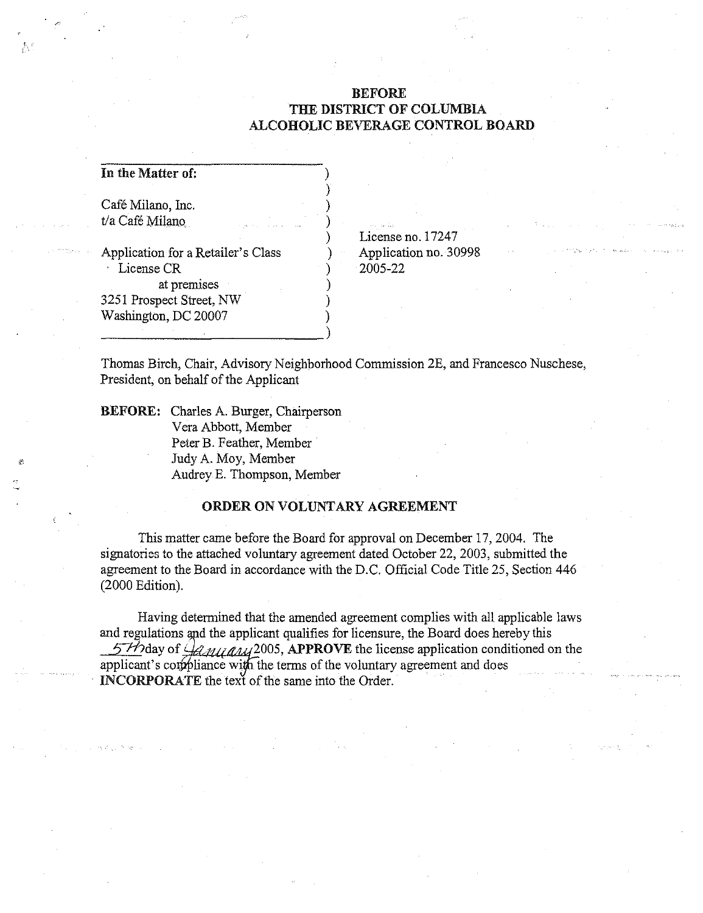## BEFORE THE DISTRICT OF COLUMBIA ALCOHOLIC BEVERAGE CONTROL BOARD

In the Matter of:

, , I

> Café Milano, Inc. t/a Café Milano

Application for a Retailer's Class . License CR at premises 3251 Prospect Street, NW Washington, DC 20007

License no. 17247 Application no. 30998 2005-22

Thomas Birch, Chair, Advisory Neighborhood Commission 2E, and Francesco Nuschese, President, on behalf of the Applicant

) ) ) ) ) ) ) ) ) )

BEFORE: Charles A. Burger, Chairperson Vera Abbott, Member Peter B. Feather, Member Judy A. Moy, Member Audrey E. Thompson, Member

----------------------)

## ORDER ON VOLUNTARY AGREEMENT

This matter came before the Board for approval on December 17, 2004. The signatories to the attached voluntary agreement dated October 22, 2003, submitted the agreement to the Board in accordance with the D.C. Official Code Title 25, Section 446 (2000 Edition).

Having determined that the amended agreement complies with all applicable laws and regulations and the applicant qualifies for licensure, the Board does hereby this 57/2 day of  $\frac{1}{2}$   $\frac{1}{2}$   $\frac{1}{2}$   $\frac{1}{2}$   $\frac{1}{2}$   $\frac{1}{2}$   $\frac{1}{2}$   $\frac{1}{2}$   $\frac{1}{2}$   $\frac{1}{2}$   $\frac{1}{2}$   $\frac{1}{2}$   $\frac{1}{2}$   $\frac{1}{2}$   $\frac{1}{2}$   $\frac{1}{2}$   $\frac{1}{2}$   $\frac{1}{2}$   $\frac{1}{2}$   $\frac{1}{2}$   $\frac{1}{2}$ applicant's compliance with the terms of the voluntary agreement and does INCORPORATE the text of the same into the Order.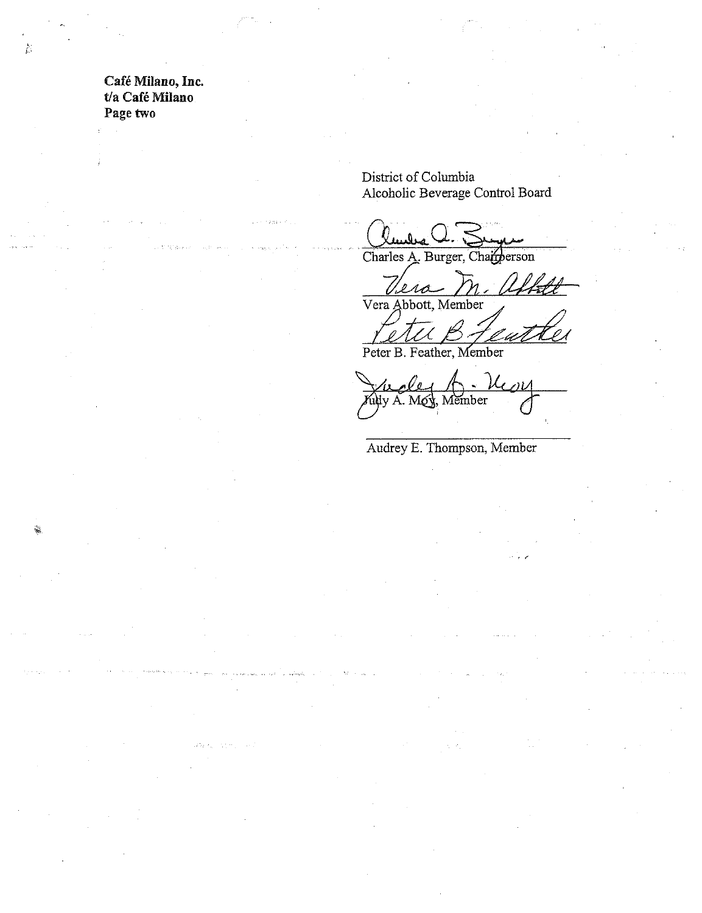Café Milano, Inc. t/a Café Milano Page two

 $\mathbb{D}$ 

District of Columbia Alcoholic Beverage Control Board

Charles A. Burger, Chainerson

L ra 0 Vera Abbott, Member

U

Peter B. Feather, Member

role fudy A. Moy, Member

Audrey E. Thompson, Member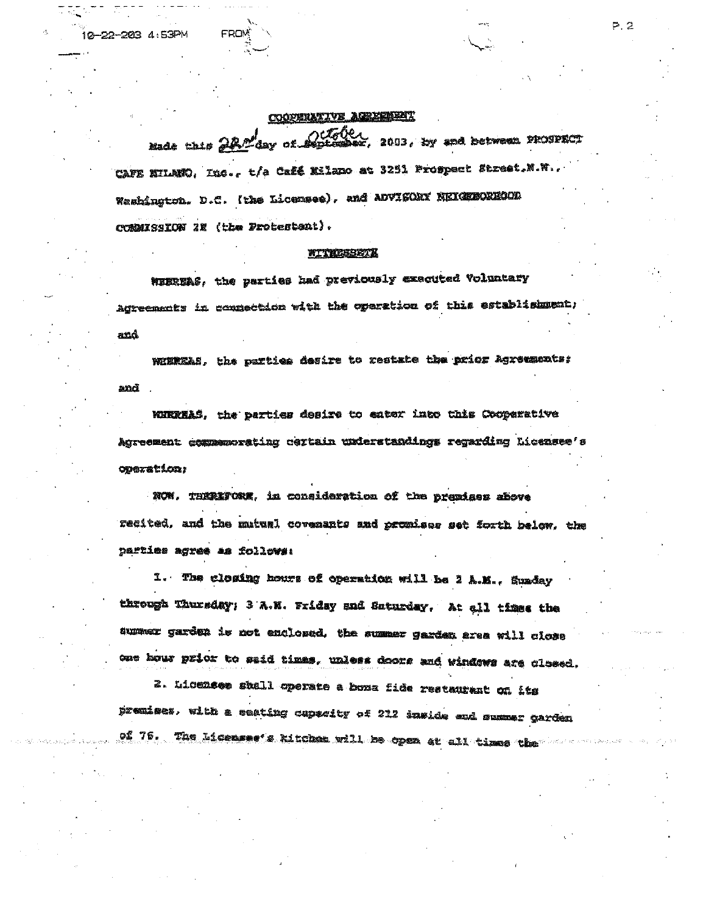## COOPERATIVE AGREEMENT

 $-22 - 203$   $4.53$ PM

mate this 22 day of 200th )<br>ez, 2003, hy and between PROSPECT CAFE NILMNO, Inc., t/a Café Nilano at 3251 Prospect Street. N.W., Washington. D.C. (the Licensee), and ADVISORY NEIGHBORHOOD CONNISSION 2E (the Protestent).

## WITRESBETH

WIEREAS, the parties had previously exacuted Voluntary Agreements in connection with the operation of this establishment; ಮೂ

WINKRAS, the parties desire to restate the prior Agreements: and

WIRREAS, the parties desire to eater into this Cooperative Agreement commemorating ceptain understandings regarding Licensee's operation;

NOW. THERIFORE, in consideration of the premises above recited, and the mutual covenants and promises set forth below, the parties agres as follows:

1. The closing hours of operation will be 2 A.M., Sunday through Thursday; 3 A.M. Friday and Saturday, At all times the summer garden is not enclosed, the summer garden area will close oue hour prior to said times, unless doors and windows are closed.

2. Licensee shall operate a boxa fide restaurant on its premises, with a seating capacity of 212 inside and summer garden of 76. The Licensse's kitchen will be open at all times the